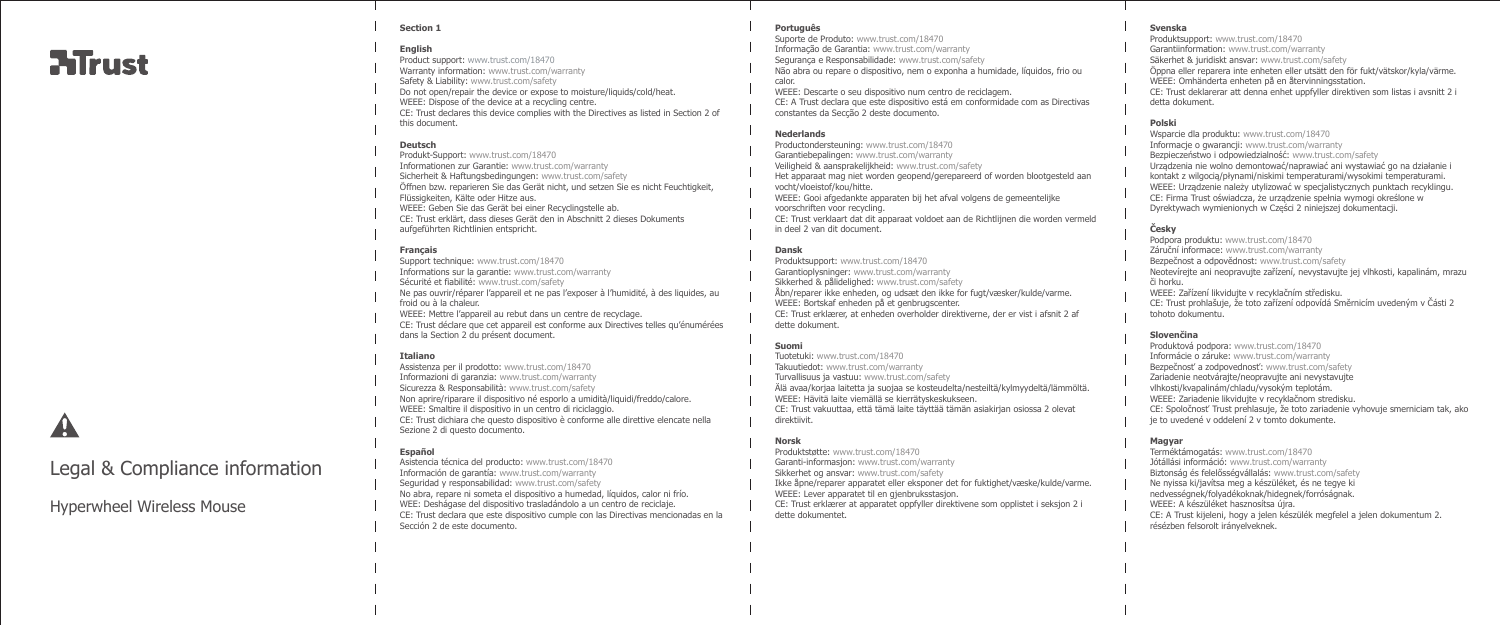# **ATrust**

#### **Section 1**

# **English**

Product support: www.trust.com/18470 Warranty information: www.trust.com/warranty Safety & Liability: www.trust.com/safety Do not open/repair the device or expose to moisture/liquids/cold/heat. WEEE: Dispose of the device at a recycling centre. CE: Trust declares this device complies with the Directives as listed in Section 2 of this document.

# **Deutsch**

Produkt-Support: www.trust.com/18470 Informationen zur Garantie: www.trust.com/warranty Sicherheit & Haftungsbedingungen: www.trust.com/safety Öffnen bzw. reparieren Sie das Gerät nicht, und setzen Sie es nicht Feuchtigkeit, Flüssigkeiten, Kälte oder Hitze aus. WEEE: Geben Sie das Gerät bei einer Recyclingstelle ab. CE: Trust erklärt, dass dieses Gerät den in Abschnitt 2 dieses Dokuments aufgeführten Richtlinien entspricht.

#### **Français**

Support technique: www.trust.com/18470 Informations sur la garantie: www.trust.com/warranty Sécurité et fiabilité: www.trust.com/safety Ne pas ouvrir/réparer l'appareil et ne pas l'exposer à l'humidité, à des liquides, au froid ou à la chaleur. WEEE: Mettre l'appareil au rebut dans un centre de recyclage. CE: Trust déclare que cet appareil est conforme aux Directives telles qu'énumérées dans la Section 2 du présent document.

# **Italiano**

Assistenza per il prodotto: www.trust.com/18470 Informazioni di garanzia: www.trust.com/warranty Sicurezza & Responsabilità: www.trust.com/safety Non aprire/riparare il dispositivo né esporlo a umidità/liquidi/freddo/calore. WEEE: Smaltire il dispositivo in un centro di riciclaggio. CE: Trust dichiara che questo dispositivo è conforme alle direttive elencate nella Sezione 2 di questo documento.

# **Español**

Asistencia técnica del producto: www.trust.com/18470 Información de garantía: www.trust.com/warranty Seguridad y responsabilidad: www.trust.com/safety No abra, repare ni someta el dispositivo a humedad, líquidos, calor ni frío. WEE: Deshágase del dispositivo trasladándolo a un centro de reciclaje. CE: Trust declara que este dispositivo cumple con las Directivas mencionadas en la Sección 2 de este documento.

# **Português**

Suporte de Produto: www.trust.com/18470 Informação de Garantia: www.trust.com/warranty Segurança e Responsabilidade: www.trust.com/safety Não abra ou repare o dispositivo, nem o exponha a humidade, líquidos, frio ou calor.

WEEE: Descarte o seu dispositivo num centro de reciclagem. CE: A Trust declara que este dispositivo está em conformidade com as Directivas constantes da Secção 2 deste documento.

#### **Nederlands**

Productondersteuning: www.trust.com/18470

Garantiebepalingen: www.trust.com/warranty

- Veiligheid & aansprakelijkheid: www.trust.com/safety Het apparaat mag niet worden geopend/gerepareerd of worden blootgesteld aan vocht/vloeistof/kou/hitte.
- WEEE: Gooi afgedankte apparaten bij het afval volgens de gemeentelijke voorschriften voor recycling.
- CE: Trust verklaart dat dit apparaat voldoet aan de Richtlijnen die worden vermeld in deel 2 van dit document.

# **Dansk**

Produktsupport: www.trust.com/18470 Garantioplysninger: www.trust.com/warranty Sikkerhed & pålidelighed: www.trust.com/safety Åbn/reparer ikke enheden, og udsæt den ikke for fugt/væsker/kulde/varme. WEEE: Bortskaf enheden på et genbrugscenter. CE: Trust erklærer, at enheden overholder direktiverne, der er vist i afsnit 2 af dette dokument.

# **Suomi**

Tuotetuki: www.trust.com/18470 Takuutiedot: www.trust.com/warranty Turvallisuus ja vastuu: www.trust.com/safety Älä avaa/korjaa laitetta ja suojaa se kosteudelta/nesteiltä/kylmyydeltä/lämmöltä. WEEE: Hävitä laite viemällä se kierrätyskeskukseen. CE: Trust vakuuttaa, että tämä laite täyttää tämän asiakirjan osiossa 2 olevat direktiivit.

# **Norsk**

Produktstøtte: www.trust.com/18470 Garanti-informasjon: www.trust.com/warranty

Sikkerhet og ansvar: www.trust.com/safety

Ikke åpne/reparer apparatet eller eksponer det for fuktighet/væske/kulde/varme. WEEE: Lever apparatet til en gjenbruksstasjon.

CE: Trust erklærer at apparatet oppfyller direktivene som opplistet i seksjon 2 i dette dokumentet.

# **Svenska**

Produktsupport: www.trust.com/18470 Garantiinformation: www.trust.com/warranty Säkerhet & juridiskt ansvar: www.trust.com/safety Öppna eller reparera inte enheten eller utsätt den för fukt/vätskor/kyla/värme. WEEE: Omhänderta enheten på en återvinningsstation. CE: Trust deklarerar att denna enhet uppfyller direktiven som listas i avsnitt 2 i detta dokument.

# **Polski**

Wsparcie dla produktu: www.trust.com/18470 Informacje o gwarancji: www.trust.com/warranty Bezpieczeństwo i odpowiedzialność: www.trust.com/safety Urządzenia nie wolno demontować/naprawiać ani wystawiać go na działanie i kontakt z wilgocią/płynami/niskimi temperaturami/wysokimi temperaturami. WEEE: Urządzenie należy utylizować w specjalistycznych punktach recyklingu. CE: Firma Trust oświadcza, że urządzenie spełnia wymogi określone w Dyrektywach wymienionych w Części 2 niniejszej dokumentacji.

# **Česky**

Podpora produktu: www.trust.com/18470 Záruční informace: www.trust.com/warranty Bezpečnost a odpovědnost: www.trust.com/safety Neotevírejte ani neopravujte zařízení, nevystavujte jej vlhkosti, kapalinám, mrazu či horku. WEEE: Zařízení likvidujte v recyklačním středisku. CE: Trust prohlašuje, že toto zařízení odpovídá Směrnicím uvedeným v Části 2 tohoto dokumentu.

# **Slovenčina**

Produktová podpora: www.trust.com/18470 Informácie o záruke: www.trust.com/warranty Bezpečnosť a zodpovednosť: www.trust.com/safety Zariadenie neotvárajte/neopravujte ani nevystavujte vlhkosti/kvapalinám/chladu/vysokým teplotám. WEEE: Zariadenie likvidujte v recyklačnom stredisku. CE: Spoločnosť Trust prehlasuje, že toto zariadenie vyhovuje smerniciam tak, ako je to uvedené v oddelení 2 v tomto dokumente.

### **Magyar**

Terméktámogatás: www.trust.com/18470 Jótállási információ: www.trust.com/warranty Biztonság és felelősségvállalás: www.trust.com/safety Ne nyissa ki/javítsa meg a készüléket, és ne tegye ki nedvességnek/folyadékoknak/hidegnek/forróságnak. WEEE: A készüléket hasznosítsa újra. CE: A Trust kijeleni, hogy a jelen készülék megfelel a jelen dokumentum 2. résézben felsorolt irányelveknek.

Legal & Compliance information

Hyperwheel Wireless Mouse